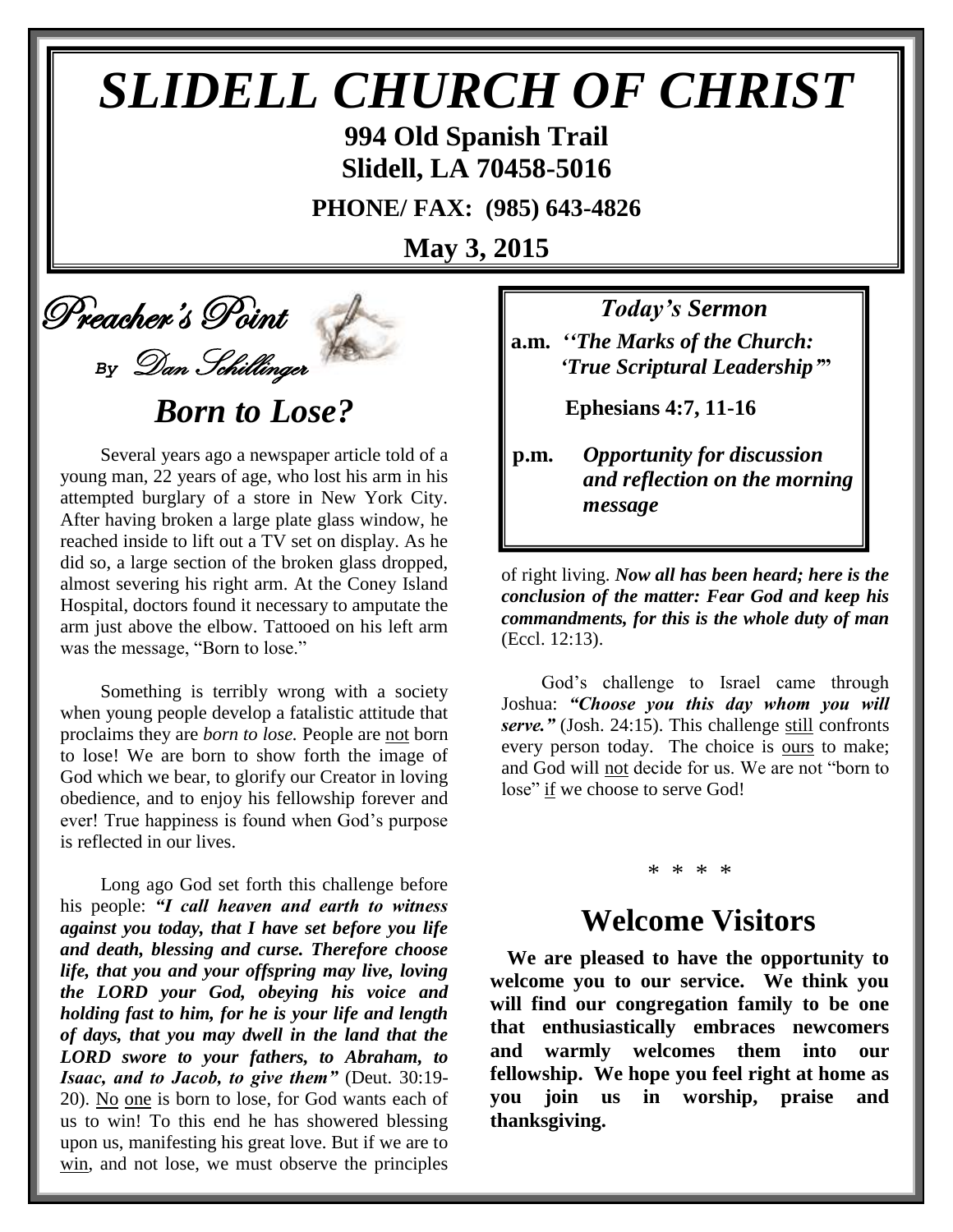# *SLIDELL CHURCH OF CHRIST* **994 Old Spanish Trail**

**Slidell, LA 70458-5016**

**PHONE/ FAX: (985) 643-4826**

**May 3, 2015**



# *Born to Lose?*

 Several years ago a newspaper article told of a young man, 22 years of age, who lost his arm in his attempted burglary of a store in New York City. After having broken a large plate glass window, he reached inside to lift out a TV set on display. As he did so, a large section of the broken glass dropped, almost severing his right arm. At the Coney Island Hospital, doctors found it necessary to amputate the arm just above the elbow. Tattooed on his left arm was the message, "Born to lose."

 Something is terribly wrong with a society when young people develop a fatalistic attitude that proclaims they are *born to lose.* People are not born to lose! We are born to show forth the image of God which we bear, to glorify our Creator in loving obedience, and to enjoy his fellowship forever and ever! True happiness is found when God's purpose is reflected in our lives.

 Long ago God set forth this challenge before his people: *"I call heaven and earth to witness against you today, that I have set before you life and death, blessing and curse. Therefore choose life, that you and your offspring may live, loving the LORD your God, obeying his voice and holding fast to him, for he is your life and length of days, that you may dwell in the land that the LORD swore to your fathers, to Abraham, to Isaac, and to Jacob, to give them"* (Deut. 30:19- 20). No one is born to lose, for God wants each of us to win! To this end he has showered blessing upon us, manifesting his great love. But if we are to win, and not lose, we must observe the principles *Today's Sermon*

**a.m.** *''The Marks of the Church: 'True Scriptural Leadership'***"**

 **Ephesians 4:7, 11-16**

**p.m.** *Opportunity for discussion*  *and reflection on the morning message*

of right living. *Now all has been heard; here is the conclusion of the matter: Fear God and keep his commandments, for this is the whole duty of man* (Eccl. 12:13).

 God's challenge to Israel came through Joshua: *"Choose you this day whom you will serve."* (Josh. 24:15). This challenge still confronts every person today. The choice is ours to make; and God will not decide for us. We are not "born to lose" if we choose to serve God!

#### \* \* \* \*

## **Welcome Visitors**

**We are pleased to have the opportunity to welcome you to our service. We think you will find our congregation family to be one that enthusiastically embraces newcomers and warmly welcomes them into our fellowship. We hope you feel right at home as you join us in worship, praise and thanksgiving.**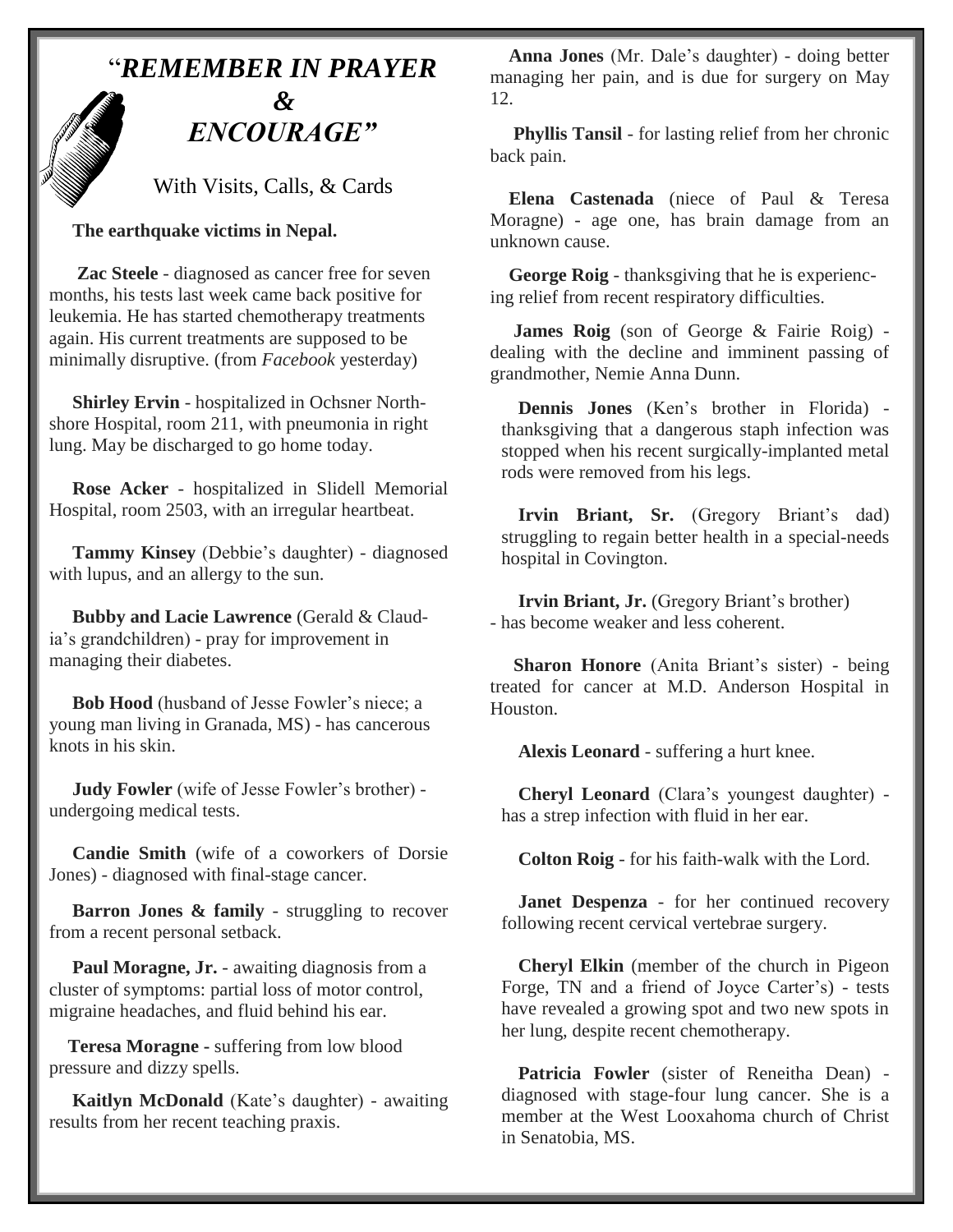

With Visits, Calls, & Cards

 **The earthquake victims in Nepal.**

 **Zac Steele** - diagnosed as cancer free for seven months, his tests last week came back positive for leukemia. He has started chemotherapy treatments again. His current treatments are supposed to be minimally disruptive. (from *Facebook* yesterday)

 **Shirley Ervin** - hospitalized in Ochsner Northshore Hospital, room 211, with pneumonia in right lung. May be discharged to go home today.

 **Rose Acker** - hospitalized in Slidell Memorial Hospital, room 2503, with an irregular heartbeat.

 **Tammy Kinsey** (Debbie's daughter) - diagnosed with lupus, and an allergy to the sun.

 **Bubby and Lacie Lawrence** (Gerald & Claudia's grandchildren) - pray for improvement in managing their diabetes.

 **Bob Hood** (husband of Jesse Fowler's niece; a young man living in Granada, MS) - has cancerous knots in his skin.

 **Judy Fowler** (wife of Jesse Fowler's brother) undergoing medical tests.

 **Candie Smith** (wife of a coworkers of Dorsie Jones) - diagnosed with final-stage cancer.

**Barron Jones & family** - struggling to recover from a recent personal setback.

Paul Moragne, Jr. - awaiting diagnosis from a cluster of symptoms: partial loss of motor control, migraine headaches, and fluid behind his ear.

 **Teresa Moragne -** suffering from low blood pressure and dizzy spells.

 **Kaitlyn McDonald** (Kate's daughter) - awaiting results from her recent teaching praxis.

 **Anna Jones** (Mr. Dale's daughter) - doing better managing her pain, and is due for surgery on May 12.

 **Phyllis Tansil** - for lasting relief from her chronic back pain.

 **Elena Castenada** (niece of Paul & Teresa Moragne) - age one, has brain damage from an unknown cause.

 **George Roig** - thanksgiving that he is experiencing relief from recent respiratory difficulties.

 **James Roig** (son of George & Fairie Roig) dealing with the decline and imminent passing of grandmother, Nemie Anna Dunn.

**Dennis Jones** (Ken's brother in Florida) thanksgiving that a dangerous staph infection was stopped when his recent surgically-implanted metal rods were removed from his legs.

**Irvin Briant, Sr.** (Gregory Briant's dad) struggling to regain better health in a special-needs hospital in Covington.

**Irvin Briant, Jr.** (Gregory Briant's brother) - has become weaker and less coherent.

 **Sharon Honore** (Anita Briant's sister) - being treated for cancer at M.D. Anderson Hospital in Houston.

**Alexis Leonard** - suffering a hurt knee.

**Cheryl Leonard** (Clara's youngest daughter) has a strep infection with fluid in her ear.

**Colton Roig** - for his faith-walk with the Lord.

**Janet Despenza** - for her continued recovery following recent cervical vertebrae surgery.

**Cheryl Elkin** (member of the church in Pigeon Forge, TN and a friend of Joyce Carter's) - tests have revealed a growing spot and two new spots in her lung, despite recent chemotherapy.

**Patricia Fowler** (sister of Reneitha Dean) diagnosed with stage-four lung cancer. She is a member at the West Looxahoma church of Christ in Senatobia, MS.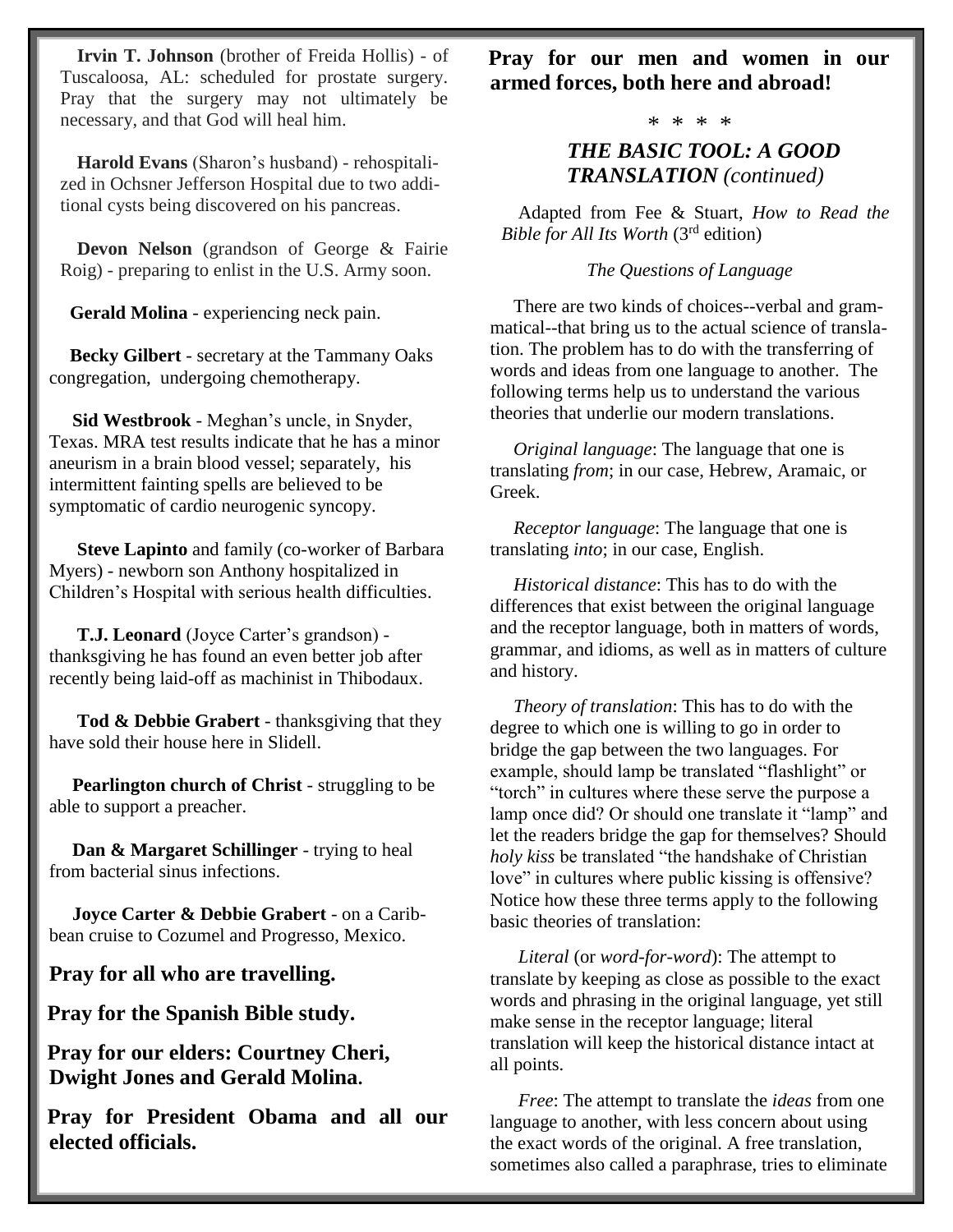**Irvin T. Johnson** (brother of Freida Hollis) - of Tuscaloosa, AL: scheduled for prostate surgery. Pray that the surgery may not ultimately be necessary, and that God will heal him.

**Harold Evans** (Sharon's husband) - rehospitalized in Ochsner Jefferson Hospital due to two additional cysts being discovered on his pancreas.

**Devon Nelson** (grandson of George & Fairie Roig) - preparing to enlist in the U.S. Army soon.

 **Gerald Molina** - experiencing neck pain.

 **Becky Gilbert** - secretary at the Tammany Oaks congregation, undergoing chemotherapy.

 **Sid Westbrook** - Meghan's uncle, in Snyder, Texas. MRA test results indicate that he has a minor aneurism in a brain blood vessel; separately, his intermittent fainting spells are believed to be symptomatic of cardio neurogenic syncopy.

 **Steve Lapinto** and family (co-worker of Barbara Myers) - newborn son Anthony hospitalized in Children's Hospital with serious health difficulties.

 **T.J. Leonard** (Joyce Carter's grandson) thanksgiving he has found an even better job after recently being laid-off as machinist in Thibodaux.

 **Tod & Debbie Grabert** - thanksgiving that they have sold their house here in Slidell.

 **Pearlington church of Christ** - struggling to be able to support a preacher.

 **Dan & Margaret Schillinger** - trying to heal from bacterial sinus infections.

 **Joyce Carter & Debbie Grabert** - on a Caribbean cruise to Cozumel and Progresso, Mexico.

**Pray for all who are travelling.**

**Pray for the Spanish Bible study.**

**Pray for our elders: Courtney Cheri, Dwight Jones and Gerald Molina.**

**Pray for President Obama and all our elected officials.**

**Pray for our men and women in our armed forces, both here and abroad!**

\* \* \* \*

### *THE BASIC TOOL: A GOOD TRANSLATION (continued)*

Adapted from Fee & Stuart, *How to Read the Bible for All Its Worth* (3rd edition)

### *The Questions of Language*

 There are two kinds of choices--verbal and grammatical--that bring us to the actual science of translation. The problem has to do with the transferring of words and ideas from one language to another. The following terms help us to understand the various theories that underlie our modern translations.

 *Original language*: The language that one is translating *from*; in our case, Hebrew, Aramaic, or Greek.

 *Receptor language*: The language that one is translating *into*; in our case, English.

 *Historical distance*: This has to do with the differences that exist between the original language and the receptor language, both in matters of words, grammar, and idioms, as well as in matters of culture and history.

 *Theory of translation*: This has to do with the degree to which one is willing to go in order to bridge the gap between the two languages. For example, should lamp be translated "flashlight" or "torch" in cultures where these serve the purpose a lamp once did? Or should one translate it "lamp" and let the readers bridge the gap for themselves? Should *holy kiss* be translated "the handshake of Christian love" in cultures where public kissing is offensive? Notice how these three terms apply to the following basic theories of translation:

 *Literal* (or *word-for-word*): The attempt to translate by keeping as close as possible to the exact words and phrasing in the original language, yet still make sense in the receptor language; literal translation will keep the historical distance intact at all points.

 *Free*: The attempt to translate the *ideas* from one language to another, with less concern about using the exact words of the original. A free translation, sometimes also called a paraphrase, tries to eliminate